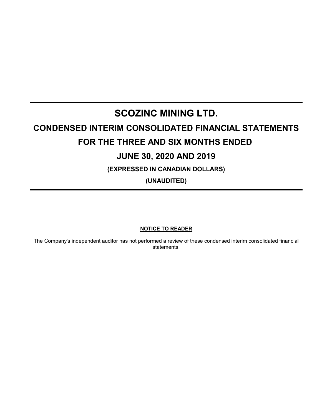# **SCOZINC MINING LTD. CONDENSED INTERIM CONSOLIDATED FINANCIAL STATEMENTS FOR THE THREE AND SIX MONTHS ENDED JUNE 30, 2020 AND 2019 (EXPRESSED IN CANADIAN DOLLARS)**

**(UNAUDITED)**

# **NOTICE TO READER**

The Company's independent auditor has not performed a review of these condensed interim consolidated financial statements.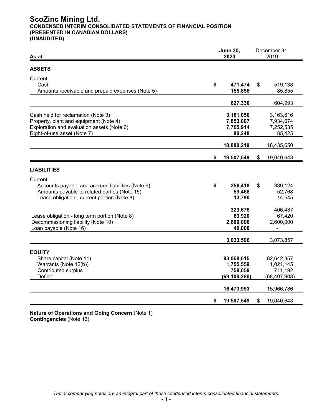# **ScoZinc Mining Ltd. CONDENSED INTERIM CONSOLIDATED STATEMENTS OF FINANCIAL POSITION (PRESENTED IN CANADIAN DOLLARS) (UNAUDITED)**

| As at                                                                                                                                                       | <b>June 30,</b><br>2020 |                                                      | December 31,<br>2019 |                                                      |
|-------------------------------------------------------------------------------------------------------------------------------------------------------------|-------------------------|------------------------------------------------------|----------------------|------------------------------------------------------|
| <b>ASSETS</b>                                                                                                                                               |                         |                                                      |                      |                                                      |
| Current<br>Cash<br>Amounts receivable and prepaid expenses (Note 5)                                                                                         | \$                      | 471,474<br>155,856                                   | \$                   | 519,138<br>85,855                                    |
|                                                                                                                                                             |                         | 627,330                                              |                      | 604,993                                              |
| Cash held for reclamation (Note 3)<br>Property, plant and equipment (Note 4)<br>Exploration and evaluation assets (Note 6)<br>Right-of-use asset (Note 7)   |                         | 3,181,050<br>7,853,007<br>7,765,914<br>80,248        |                      | 3,163,616<br>7,934,074<br>7,252,535<br>85,425        |
|                                                                                                                                                             |                         | 18,880,219                                           |                      | 18,435,650                                           |
|                                                                                                                                                             | \$                      | 19,507,549                                           | $\frac{1}{2}$        | 19,040,643                                           |
| <b>LIABILITIES</b>                                                                                                                                          |                         |                                                      |                      |                                                      |
| Current<br>Accounts payable and accrued liabilities (Note 9)<br>Amounts payable to related parties (Note 15)<br>Lease obligation - current portion (Note 8) | \$                      | 256,418<br>59,468<br>13,790                          | \$                   | 339,124<br>52,768<br>14,545                          |
| Lease obligation - long term portion (Note 8)<br>Decommissioning liability (Note 10)<br>Loan payable (Note 16)                                              |                         | 329,676<br>63,920<br>2,600,000<br>40,000             |                      | 406,437<br>67,420<br>2,600,000<br>۰                  |
|                                                                                                                                                             |                         | 3,033,596                                            |                      | 3,073,857                                            |
| <b>EQUITY</b><br>Share capital (Note 11)<br>Warrants (Note 12(b))<br>Contributed surplus<br><b>Deficit</b>                                                  |                         | 83,068,615<br>1,755,559<br>758,059<br>(69, 108, 280) |                      | 82,642,357<br>1,021,145<br>711,192<br>(68, 407, 908) |
|                                                                                                                                                             |                         | 16,473,953                                           |                      | 15,966,786                                           |
|                                                                                                                                                             | \$                      | 19,507,549                                           | \$                   | 19,040,643                                           |

**Nature of Operations and Going Concern** (Note 1) **Contingencies** (Note 13)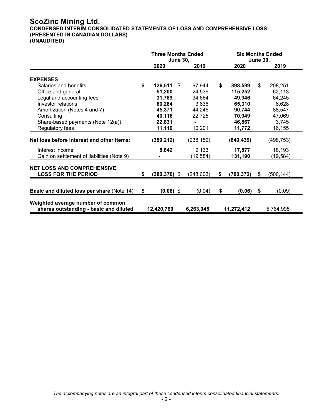# **ScoZinc Mining Ltd.**

**CONDENSED INTERIM CONSOLIDATED STATEMENTS OF LOSS AND COMPREHENSIVE LOSS (PRESENTED IN CANADIAN DOLLARS)**

**(UNAUDITED)**

|                                                                             | <b>Three Months Ended</b><br><b>June 30,</b> |                 | <b>Six Months Ended</b><br><b>June 30,</b> |                   |    |            |
|-----------------------------------------------------------------------------|----------------------------------------------|-----------------|--------------------------------------------|-------------------|----|------------|
|                                                                             |                                              | 2020            | 2019                                       | 2020              |    | 2019       |
| <b>EXPENSES</b>                                                             |                                              |                 |                                            |                   |    |            |
| Salaries and benefits                                                       | \$                                           | 126,511         | \$<br>97,944                               | \$<br>398,599     | \$ | 208,251    |
| Office and general                                                          |                                              | 51,200          | 24,536                                     | 115,252           |    | 62,113     |
| Legal and accounting fees                                                   |                                              | 31,789          | 34,664                                     | 49,946            |    | 64,245     |
| Investor relations                                                          |                                              | 60,284          | 3,836                                      | 65,310            |    | 8,628      |
| Amortization (Notes 4 and 7)                                                |                                              | 45,371          | 44,246                                     | 90,744            |    | 88,547     |
| Consulting                                                                  |                                              | 40,116          | 22,725                                     | 70,949            |    | 47,069     |
| Share-based payments (Note 12(a))                                           |                                              | 22,831          |                                            | 46,867            |    | 3,745      |
| Regulatory fees                                                             |                                              | 11,110          | 10,201                                     | 11,772            |    | 16,155     |
| Net loss before interest and other items:                                   |                                              | (389, 212)      | (238, 152)                                 | (849, 439)        |    | (498, 753) |
| Interest income                                                             |                                              | 8,842           | 9,133                                      | 17,877            |    | 18,193     |
| Gain on settlement of liabilities (Note 9)                                  |                                              |                 | (19, 584)                                  | 131,190           |    | (19, 584)  |
| <b>NET LOSS AND COMPREHENSIVE</b><br><b>LOSS FOR THE PERIOD</b>             | S                                            | $(380, 370)$ \$ | (248, 603)                                 | \$<br>(700, 372)  | \$ | (500, 144) |
|                                                                             |                                              |                 |                                            |                   |    |            |
| <b>Basic and diluted loss per share (Note 14)</b>                           | \$                                           | $(0.06)$ \$     | (0.04)                                     | \$<br>$(0.06)$ \$ |    | (0.09)     |
| Weighted average number of common<br>shares outstanding - basic and diluted |                                              | 12,420,760      | 6,263,945                                  | 11,272,412        |    | 5,764,995  |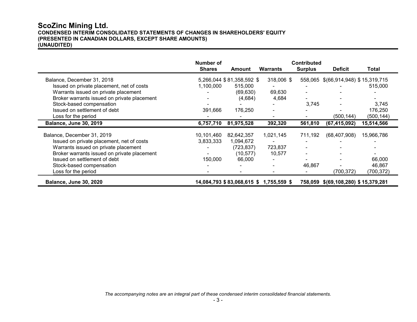# **ScoZinc Mining Ltd. CONDENSED INTERIM CONSOLIDATED STATEMENTS OF CHANGES IN SHAREHOLDERS' EQUITY (PRESENTED IN CANADIAN DOLLARS, EXCEPT SHARE AMOUNTS) (UNAUDITED)**

|                                             | Number of     |                                        |            | <b>Contributed</b> |                                     |            |
|---------------------------------------------|---------------|----------------------------------------|------------|--------------------|-------------------------------------|------------|
|                                             | <b>Shares</b> | Amount                                 | Warrants   | <b>Surplus</b>     | <b>Deficit</b>                      | Total      |
| Balance, December 31, 2018                  |               | 5,266,044 \$81,358,592 \$              | 318,006 \$ |                    | 558,065 \$(66,914,948) \$15,319,715 |            |
| Issued on private placement, net of costs   | 1,100,000     | 515,000                                |            |                    |                                     | 515,000    |
| Warrants issued on private placement        |               | (69, 630)                              | 69,630     |                    |                                     |            |
| Broker warrants issued on private placement |               | (4,684)                                | 4,684      |                    |                                     |            |
| Stock-based compensation                    |               |                                        |            | 3,745              |                                     | 3,745      |
| Issued on settlement of debt                | 391,666       | 176,250                                |            |                    |                                     | 176,250    |
| Loss for the period                         |               |                                        |            |                    | (500,144)                           | (500,144)  |
| <b>Balance, June 30, 2019</b>               | 6,757,710     | 81,975,528                             | 392,320    | 561,810            | (67, 415, 092)                      | 15,514,566 |
| Balance, December 31, 2019                  | 10,101,460    | 82,642,357                             | 1,021,145  | 711,192            | (68, 407, 908)                      | 15,966,786 |
| Issued on private placement, net of costs   | 3,833,333     | 1,094,672                              |            |                    |                                     |            |
| Warrants issued on private placement        |               | (723, 837)                             | 723,837    |                    |                                     |            |
| Broker warrants issued on private placement |               | (10, 577)                              | 10,577     |                    |                                     |            |
| Issued on settlement of debt                | 150,000       | 66,000                                 |            |                    |                                     | 66,000     |
| Stock-based compensation                    |               |                                        |            | 46,867             |                                     | 46,867     |
| Loss for the period                         |               |                                        |            |                    | (700,372)                           | (700,372)  |
| <b>Balance, June 30, 2020</b>               |               | 14,084,793 \$83,068,615 \$1,755,559 \$ |            |                    | 758,059 \$(69,108,280) \$15,379,281 |            |

*The accompanying notes are an integral part of these condensed interim consolidated financial statements.*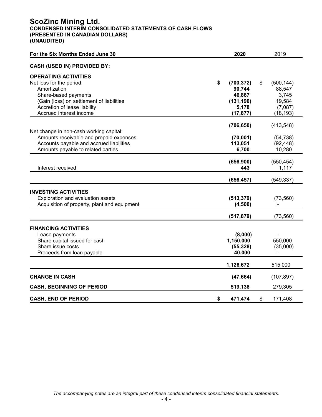# **ScoZinc Mining Ltd. CONDENSED INTERIM CONSOLIDATED STATEMENTS OF CASH FLOWS (PRESENTED IN CANADIAN DOLLARS) (UNAUDITED)**

| For the Six Months Ended June 30             | 2020             | 2019             |
|----------------------------------------------|------------------|------------------|
| <b>CASH (USED IN) PROVIDED BY:</b>           |                  |                  |
| <b>OPERATING ACTIVITIES</b>                  |                  |                  |
| Net loss for the period:                     | \$<br>(700, 372) | \$<br>(500, 144) |
| Amortization                                 | 90,744           | 88,547           |
| Share-based payments                         | 46,867           | 3,745            |
| (Gain (loss) on settlement of liabilities    | (131, 190)       | 19,584           |
| Accretion of lease liability                 | 5,178            | (7,087)          |
| Accrued interest income                      | (17, 877)        | (18, 193)        |
|                                              | (706, 650)       | (413, 548)       |
| Net change in non-cash working capital:      |                  |                  |
| Amounts receivable and prepaid expenses      | (70,001)         | (54, 738)        |
| Accounts payable and accrued liabilities     | 113,051          | (92, 448)        |
| Amounts payable to related parties           | 6,700            | 10,280           |
|                                              | (656, 900)       | (550, 454)       |
| Interest received                            | 443              | 1,117            |
|                                              |                  |                  |
|                                              | (656, 457)       | (549, 337)       |
| <b>INVESTING ACTIVITIES</b>                  |                  |                  |
| Exploration and evaluation assets            | (513, 379)       | (73, 560)        |
| Acquisition of property, plant and equipment | (4,500)          |                  |
|                                              |                  |                  |
|                                              | (517, 879)       | (73, 560)        |
| <b>FINANCING ACTIVITIES</b>                  |                  |                  |
| Lease payments                               | (8,000)          |                  |
| Share capital issued for cash                | 1,150,000        | 550,000          |
| Share issue costs                            | (55, 328)        | (35,000)         |
| Proceeds from loan payable                   | 40,000           |                  |
|                                              | 1,126,672        | 515,000          |
| <b>CHANGE IN CASH</b>                        | (47, 664)        | (107, 897)       |
| <b>CASH, BEGINNING OF PERIOD</b>             | 519,138          | 279,305          |
| <b>CASH, END OF PERIOD</b>                   |                  |                  |
|                                              | \$<br>471,474    | \$<br>171,408    |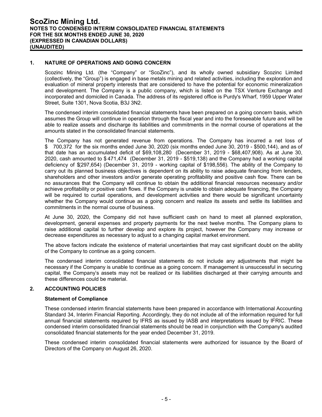#### **1. NATURE OF OPERATIONS AND GOING CONCERN**

Scozinc Mining Ltd. (the "Company" or "ScoZinc"), and its wholly owned subsidiary Scozinc Limited (collectively, the "Group") is engaged in base metals mining and related activities, including the exploration and evaluation of mineral property interests that are considered to have the potential for economic mineralization and development. The Company is a public company, which is listed on the TSX Venture Exchange and incorporated and domiciled in Canada. The address of its registered office is Purdy's Wharf, 1959 Upper Water Street, Suite 1301, Nova Scotia, B3J 3N2.

The condensed interim consolidated financial statements have been prepared on a going concern basis, which assumes the Group will continue in operation through the fiscal year and into the foreseeable future and will be able to realize assets and discharge its liabilities and commitments in the normal course of operations at the amounts stated in the consolidated financial statements.

The Company has not generated revenue from operations. The Company has incurred a net loss of \$ 700,372 for the six months ended June 30, 2020 (six months ended June 30, 2019 - \$500,144), and as of that date has an accumulated deficit of \$69,108,280 (December 31, 2019 - \$68,407,908). As at June 30, 2020, cash amounted to \$ 471,474 (December 31, 2019 - \$519,138) and the Company had a working capital deficiency of \$(297,654) (December 31, 2019 - working capital of \$198,556). The ability of the Company to carry out its planned business objectives is dependent on its ability to raise adequate financing from lenders, shareholders and other investors and/or generate operating profitability and positive cash flow. There can be no assurances that the Company will continue to obtain the additional financial resources necessary and/or achieve profitability or positive cash flows. If the Company is unable to obtain adequate financing, the Company will be required to curtail operations, and development activities and there would be significant uncertainty whether the Company would continue as a going concern and realize its assets and settle its liabilities and commitments in the normal course of business.

At June 30, 2020, the Company did not have sufficient cash on hand to meet all planned exploration, development, general expenses and property payments for the next twelve months. The Company plans to raise additional capital to further develop and explore its project, however the Company may increase or decrease expenditures as necessary to adjust to a changing capital market environment.

The above factors indicate the existence of material uncertainties that may cast significant doubt on the ability of the Company to continue as a going concern.

The condensed interim consolidated financial statements do not include any adjustments that might be necessary if the Company is unable to continue as a going concern. If management is unsuccessful in securing capital, the Company's assets may not be realized or its liabilities discharged at their carrying amounts and these differences could be material.

#### **2. ACCOUNTING POLICIES**

#### **Statement of Compliance**

These condensed interim financial statements have been prepared in accordance with International Accounting Standard 34, Interim Financial Reporting. Accordingly, they do not include all of the information required for full annual financial statements required by IFRS as issued by IASB and interpretations issued by IFRIC. These condensed interim consolidated financial statements should be read in conjunction with the Company's audited consolidated financial statements for the year ended December 31, 2019.

These condensed interim consolidated financial statements were authorized for issuance by the Board of Directors of the Company on August 26, 2020.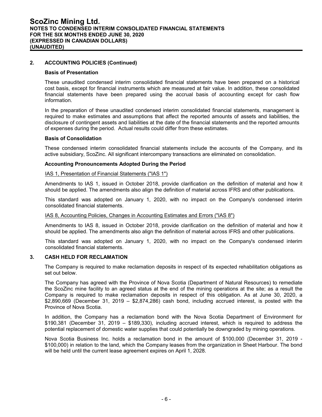### **2. ACCOUNTING POLICIES (Continued)**

#### **Basis of Presentation**

These unaudited condensed interim consolidated financial statements have been prepared on a historical cost basis, except for financial instruments which are measured at fair value. In addition, these consolidated financial statements have been prepared using the accrual basis of accounting except for cash flow information.

In the preparation of these unaudited condensed interim consolidated financial statements, management is required to make estimates and assumptions that affect the reported amounts of assets and liabilities, the disclosure of contingent assets and liabilities at the date of the financial statements and the reported amounts of expenses during the period. Actual results could differ from these estimates.

#### **Basis of Consolidation**

These condensed interim consolidated financial statements include the accounts of the Company, and its active subsidiary, ScoZinc. All significant intercompany transactions are eliminated on consolidation.

#### **Accounting Pronouncements Adopted During the Period**

#### IAS 1, Presentation of Financial Statements ("IAS 1")

Amendments to IAS 1, issued in October 2018, provide clarification on the definition of material and how it should be applied. The amendments also align the definition of material across IFRS and other publications.

This standard was adopted on January 1, 2020, with no impact on the Company's condensed interim consolidated financial statements.

#### IAS 8, Accounting Policies, Changes in Accounting Estimates and Errors ("IAS 8")

Amendments to IAS 8, issued in October 2018, provide clarification on the definition of material and how it should be applied. The amendments also align the definition of material across IFRS and other publications.

This standard was adopted on January 1, 2020, with no impact on the Company's condensed interim consolidated financial statements.

#### **3. CASH HELD FOR RECLAMATION**

The Company is required to make reclamation deposits in respect of its expected rehabilitation obligations as set out below.

The Company has agreed with the Province of Nova Scotia (Department of Natural Resources) to remediate the ScoZinc mine facility to an agreed status at the end of the mining operations at the site; as a result the Company is required to make reclamation deposits in respect of this obligation. As at June 30, 2020, a \$2,890,669 (December 31, 2019 – \$2,874,286) cash bond, including accrued interest, is posted with the Province of Nova Scotia.

In addition, the Company has a reclamation bond with the Nova Scotia Department of Environment for \$190,381 (December 31, 2019 – \$189,330), including accrued interest, which is required to address the potential replacement of domestic water supplies that could potentially be downgraded by mining operations.

Nova Scotia Business Inc. holds a reclamation bond in the amount of \$100,000 (December 31, 2019 - \$100,000) in relation to the land, which the Company leases from the organization in Sheet Harbour. The bond will be held until the current lease agreement expires on April 1, 2028.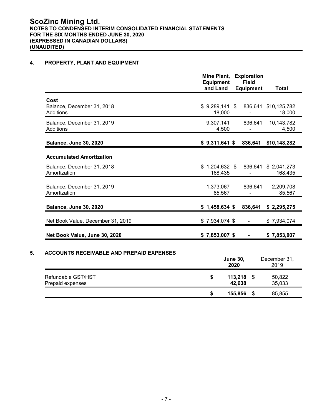## **4. PROPERTY, PLANT AND EQUIPMENT**

|                                                        | Mine Plant,<br><b>Exploration</b><br><b>Field</b><br><b>Equipment</b><br>and Land<br><b>Equipment</b> | <b>Total</b>        |
|--------------------------------------------------------|-------------------------------------------------------------------------------------------------------|---------------------|
| Cost<br>Balance, December 31, 2018<br><b>Additions</b> | $$9,289,141$ \$<br>836,641<br>\$10,125,782<br>18,000                                                  | 18,000              |
| Balance, December 31, 2019<br><b>Additions</b>         | 9,307,141<br>836,641<br>4,500                                                                         | 10,143,782<br>4,500 |
| <b>Balance, June 30, 2020</b>                          | $$9,311,641$ \$<br>836,641<br>\$10,148,282                                                            |                     |
| <b>Accumulated Amortization</b>                        |                                                                                                       |                     |
| Balance, December 31, 2018<br>Amortization             | $$1,204,632$ \$<br>836,641 \$ 2,041,273<br>168,435                                                    | 168,435             |
| Balance, December 31, 2019<br>Amortization             | 1,373,067<br>836,641<br>85,567<br>ä,                                                                  | 2,209,708<br>85,567 |
| <b>Balance, June 30, 2020</b>                          | $$1,458,634$ \$<br>836,641<br>\$2,295,275                                                             |                     |
| Net Book Value, December 31, 2019                      | $$7,934,074$ \$<br>\$7,934,074                                                                        |                     |
| Net Book Value, June 30, 2020                          | $$7,853,007$ \$<br>\$7,853,007<br>$\blacksquare$                                                      |                     |
| <b>ACCOUNTS RECEIVABLE AND PREPAID EXPENSES</b>        | December 31,<br><b>June 30,</b><br>2020<br>2019                                                       |                     |
| Refundable GST/HST<br>Prepaid expenses                 | \$<br>113,218<br>\$<br>50,822<br>42,638<br>35,033                                                     |                     |
|                                                        | \$<br>155,856<br>\$<br>85,855                                                                         |                     |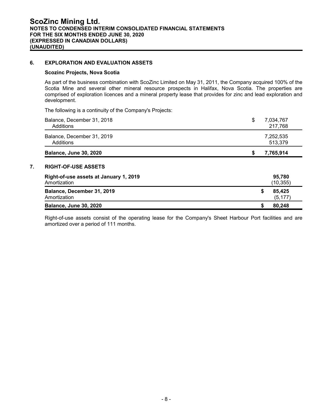#### **6. EXPLORATION AND EVALUATION ASSETS**

#### **Scozinc Projects, Nova Scotia**

As part of the business combination with ScoZinc Limited on May 31, 2011, the Company acquired 100% of the Scotia Mine and several other mineral resource prospects in Halifax, Nova Scotia. The properties are comprised of exploration licences and a mineral property lease that provides for zinc and lead exploration and development.

The following is a continuity of the Company's Projects:

| Balance, December 31, 2018<br>Additions                                              | \$<br>7,034,767<br>217,768            |
|--------------------------------------------------------------------------------------|---------------------------------------|
| Balance, December 31, 2019<br>Additions                                              | 7,252,535<br>513,379                  |
| <b>Balance, June 30, 2020</b>                                                        | 7,765,914<br>S                        |
| <b>RIGHT-OF-USE ASSETS</b><br>Right-of-use assets at January 1, 2019<br>Amortization | 95,780                                |
|                                                                                      |                                       |
| Balance, December 31, 2019<br>Amortization                                           | (10, 355)<br>\$<br>85.425<br>(5, 177) |

Right-of-use assets consist of the operating lease for the Company's Sheet Harbour Port facilities and are amortized over a period of 111 months.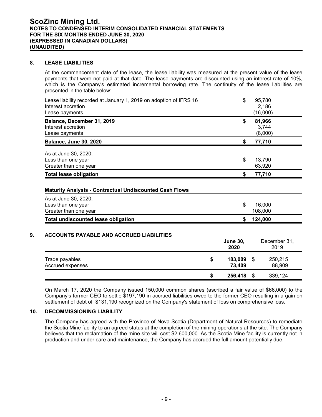#### **8. LEASE LIABILITIES**

At the commencement date of the lease, the lease liability was measured at the present value of the lease payments that were not paid at that date. The lease payments are discounted using an interest rate of 10%, which is the Company's estimated incremental borrowing rate. The continuity of the lease liabilities are presented in the table below:

| Lease liability recorded at January 1, 2019 on adoption of IFRS 16<br>Interest accretion<br>Lease payments        | \$       | 95,780<br>2,186<br>(16,000)  |
|-------------------------------------------------------------------------------------------------------------------|----------|------------------------------|
| Balance, December 31, 2019<br>Interest accretion<br>Lease payments                                                | \$       | 81,966<br>3,744<br>(8,000)   |
| <b>Balance, June 30, 2020</b>                                                                                     | \$       | 77,710                       |
| As at June 30, 2020:<br>Less than one year<br>Greater than one year<br><b>Total lease obligation</b>              | \$<br>\$ | 13,790<br>63,920<br>77,710   |
| <b>Maturity Analysis - Contractual Undiscounted Cash Flows</b>                                                    |          |                              |
| As at June 30, 2020:<br>Less than one year<br>Greater than one year<br><b>Total undiscounted lease obligation</b> | \$<br>\$ | 16,000<br>108,000<br>124,000 |
|                                                                                                                   |          |                              |

#### **9. ACCOUNTS PAYABLE AND ACCRUED LIABILITIES**

|                                    |    | <b>June 30,</b><br>2020 |   | December 31,<br>2019 |
|------------------------------------|----|-------------------------|---|----------------------|
| Trade payables<br>Accrued expenses | \$ | 183,009<br>73,409       | S | 250,215<br>88,909    |
|                                    | S  | 256,418                 |   | 339,124              |

On March 17, 2020 the Company issued 150,000 common shares (ascribed a fair value of \$66,000) to the Company's former CEO to settle \$197,190 in accrued liabilities owed to the former CEO resulting in a gain on settlement of debt of \$131,190 recognized on the Company's statement of loss on comprehensive loss.

#### **10. DECOMMISSIONING LIABILITY**

The Company has agreed with the Province of Nova Scotia (Department of Natural Resources) to remediate the Scotia Mine facility to an agreed status at the completion of the mining operations at the site. The Company believes that the reclamation of the mine site will cost \$2,600,000. As the Scotia Mine facility is currently not in production and under care and maintenance, the Company has accrued the full amount potentially due.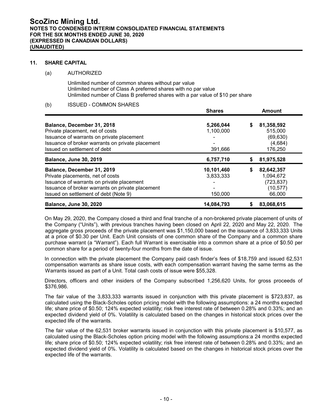#### **11. SHARE CAPITAL**

#### (a) AUTHORIZED

Unlimited number of common shares without par value Unlimited number of Class A preferred shares with no par value Unlimited number of Class B preferred shares with a par value of \$10 per share

# (b) ISSUED - COMMON SHARES

|                                                  | <b>Shares</b> |    | <b>Amount</b> |
|--------------------------------------------------|---------------|----|---------------|
| Balance, December 31, 2018                       | 5,266,044     | \$ | 81,358,592    |
| Private placement, net of costs                  | 1,100,000     |    | 515,000       |
| Issuance of warrants on private placement        |               |    | (69, 630)     |
| Issuance of broker warrants on private placement |               |    | (4,684)       |
| Issued on settlement of debt                     | 391,666       |    | 176,250       |
| <b>Balance, June 30, 2019</b>                    | 6,757,710     |    | 81,975,528    |
| Balance, December 31, 2019                       | 10,101,460    | S  | 82,642,357    |
| Private placements, net of costs                 | 3,833,333     |    | 1,094,672     |
| Issuance of warrants on private placement        |               |    | (723, 837)    |
| Issuance of broker warrants on private placement |               |    | (10, 577)     |
| Issued on settlement of debt (Note 9)            | 150,000       |    | 66,000        |
| <b>Balance, June 30, 2020</b>                    | 14,084,793    |    | 83,068,615    |

On May 29, 2020, the Company closed a third and final tranche of a non-brokered private placement of units of the Company ("Units"), with previous tranches having been closed on April 22, 2020 and May 22, 2020. The aggregate gross proceeds of the private placement was \$1,150,000 based on the issuance of 3,833,333 Units at a price of \$0.30 per Unit. Each Unit consists of one common share of the Company and a common share purchase warrant (a "Warrant"). Each full Warrant is exercisable into a common share at a price of \$0.50 per common share for a period of twenty-four months from the date of issue.

In connection with the private placement the Company paid cash finder's fees of \$18,759 and issued 62,531 compensation warrants as share issue costs, with each compensation warrant having the same terms as the Warrants issued as part of a Unit. Total cash costs of issue were \$55,328.

Directors, officers and other insiders of the Company subscribed 1,256,620 Units, for gross proceeds of \$376,986.

The fair value of the 3,833,333 warrants issued in conjunction with this private placement is \$723,837, as calculated using the Black-Scholes option pricing model with the following assumptions: a 24 months expected life; share price of \$0.50; 124% expected volatility; risk free interest rate of between 0.28% and 0.33%; and an expected dividend yield of 0%. Volatility is calculated based on the changes in historical stock prices over the expected life of the warrants.

The fair value of the 62,531 broker warrants issued in conjunction with this private placement is \$10,577, as calculated using the Black-Scholes option pricing model with the following assumptions:a 24 months expected life; share price of \$0.50; 124% expected volatility; risk free interest rate of between 0.28% and 0.33%; and an expected dividend yield of 0%. Volatility is calculated based on the changes in historical stock prices over the expected life of the warrants.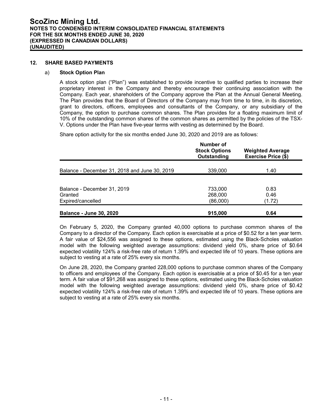#### **12. SHARE BASED PAYMENTS**

#### a) **Stock Option Plan**

A stock option plan ("Plan") was established to provide incentive to qualified parties to increase their proprietary interest in the Company and thereby encourage their continuing association with the Company. Each year, shareholders of the Company approve the Plan at the Annual General Meeting. The Plan provides that the Board of Directors of the Company may from time to time, in its discretion, grant to directors, officers, employees and consultants of the Company, or any subsidiary of the Company, the option to purchase common shares. The Plan provides for a floating maximum limit of 10% of the outstanding common shares of the common shares as permitted by the policies of the TSX-V. Options under the Plan have five-year terms with vesting as determined by the Board.

Share option activity for the six months ended June 30, 2020 and 2019 are as follows:

|                                                             | Number of<br><b>Stock Options</b><br>Outstanding | <b>Weighted Average</b><br>Exercise Price (\$) |
|-------------------------------------------------------------|--------------------------------------------------|------------------------------------------------|
| Balance - December 31, 2018 and June 30, 2019               | 339,000                                          | 1.40                                           |
| Balance - December 31, 2019<br>Granted<br>Expired/cancelled | 733,000<br>268,000<br>(86,000)                   | 0.83<br>0.46<br>(1.72)                         |
| <b>Balance - June 30, 2020</b>                              | 915,000                                          | 0.64                                           |

On February 5, 2020, the Company granted 40,000 options to purchase common shares of the Company to a director of the Company. Each option is exercisable at a price of \$0.52 for a ten year term. A fair value of \$24,556 was assigned to these options, estimated using the Black-Scholes valuation model with the following weighted average assumptions: dividend yield 0%, share price of \$0.64 expected volatility 124% a risk-free rate of return 1.39% and expected life of 10 years. These options are subject to vesting at a rate of 25% every six months.

On June 28, 2020, the Company granted 228,000 options to purchase common shares of the Company to officers and employees of the Company. Each option is exercisable at a price of \$0.45 for a ten year term. A fair value of \$91,268 was assigned to these options, estimated using the Black-Scholes valuation model with the following weighted average assumptions: dividend yield 0%, share price of \$0.42 expected volatility 124% a risk-free rate of return 1.39% and expected life of 10 years. These options are subject to vesting at a rate of 25% every six months.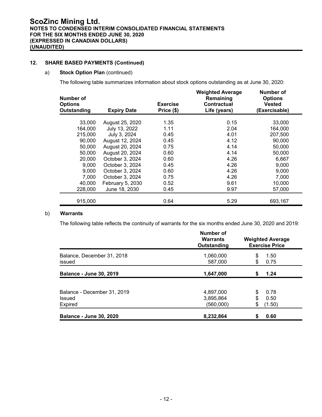#### **12. SHARE BASED PAYMENTS (Continued)**

#### a) **Stock Option Plan** (continued)

The following table summarizes information about stock options outstanding as at June 30, 2020:

| Number of<br><b>Options</b><br>Outstanding | <b>Expiry Date</b> | <b>Exercise</b><br>Price (\$) | <b>Weighted Average</b><br>Remaining<br><b>Contractual</b><br>Life (years) | Number of<br><b>Options</b><br><b>Vested</b><br>(Exercisable) |
|--------------------------------------------|--------------------|-------------------------------|----------------------------------------------------------------------------|---------------------------------------------------------------|
| 33,000                                     | August 25, 2020    | 1.35                          | 0.15                                                                       | 33,000                                                        |
| 164,000                                    | July 13, 2022      | 1.11                          | 2.04                                                                       | 164,000                                                       |
| 215,000                                    | July 3, 2024       | 0.45                          | 4.01                                                                       | 207,500                                                       |
| 90,000                                     | August 12, 2024    | 0.45                          | 4.12                                                                       | 90,000                                                        |
| 50,000                                     | August 20, 2024    | 0.75                          | 4.14                                                                       | 50,000                                                        |
| 50,000                                     | August 20, 2024    | 0.60                          | 4.14                                                                       | 50,000                                                        |
| 20,000                                     | October 3, 2024    | 0.60                          | 4.26                                                                       | 6,667                                                         |
| 9,000                                      | October 3, 2024    | 0.45                          | 4.26                                                                       | 9,000                                                         |
| 9,000                                      | October 3, 2024    | 0.60                          | 4.26                                                                       | 9,000                                                         |
| 7,000                                      | October 3, 2024    | 0.75                          | 4.26                                                                       | 7,000                                                         |
| 40,000                                     | February 5, 2030   | 0.52                          | 9.61                                                                       | 10,000                                                        |
| 228,000                                    | June 18, 2030      | 0.45                          | 9.97                                                                       | 57,000                                                        |
| 915,000                                    |                    | 0.64                          | 5.29                                                                       | 693,167                                                       |

#### b) **Warrants**

The following table reflects the continuity of warrants for the six months ended June 30, 2020 and 2019:

|                                                         | Number of<br><b>Warrants</b><br>Outstanding | <b>Weighted Average</b><br><b>Exercise Price</b> |
|---------------------------------------------------------|---------------------------------------------|--------------------------------------------------|
| Balance, December 31, 2018<br>issued                    | 1,060,000<br>587,000                        | \$<br>1.50<br>\$<br>0.75                         |
| <b>Balance - June 30, 2019</b>                          | 1,647,000                                   | 1.24<br>S                                        |
| Balance - December 31, 2019<br><b>Issued</b><br>Expired | 4,897,000<br>3,895,864<br>(560,000)         | 0.78<br>\$<br>\$<br>0.50<br>\$<br>(1.50)         |
| <b>Balance - June 30, 2020</b>                          | 8,232,864                                   | 0.60<br>S                                        |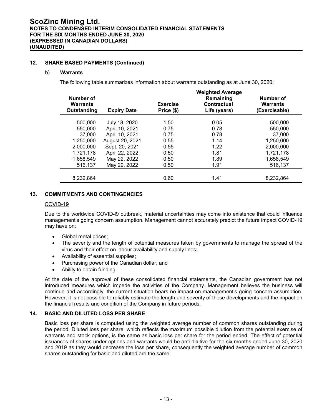#### **12. SHARE BASED PAYMENTS (Continued)**

#### b) **Warrants**

The following table summarizes information about warrants outstanding as at June 30, 2020:

|                                             | <b>Weighted Average</b> |                               |                                          |                                               |  |  |  |  |
|---------------------------------------------|-------------------------|-------------------------------|------------------------------------------|-----------------------------------------------|--|--|--|--|
| Number of<br><b>Warrants</b><br>Outstanding | <b>Expiry Date</b>      | <b>Exercise</b><br>Price (\$) | Remaining<br>Contractual<br>Life (years) | Number of<br><b>Warrants</b><br>(Exercisable) |  |  |  |  |
| 500,000                                     | July 18, 2020           | 1.50                          | 0.05                                     | 500,000                                       |  |  |  |  |
| 550,000                                     | April 10, 2021          | 0.75                          | 0.78                                     | 550,000                                       |  |  |  |  |
| 37,000                                      | April 10, 2021          | 0.75                          | 0.78                                     | 37,000                                        |  |  |  |  |
| 1,250,000                                   | August 20, 2021         | 0.55                          | 1.14                                     | 1,250,000                                     |  |  |  |  |
| 2,000,000                                   | Sept. 20, 2021          | 0.55                          | 1.22                                     | 2,000,000                                     |  |  |  |  |
| 1,721,178                                   | April 22, 2022          | 0.50                          | 1.81                                     | 1,721,178                                     |  |  |  |  |
| 1,658,549                                   | May 22, 2022            | 0.50                          | 1.89                                     | 1.658.549                                     |  |  |  |  |
| 516,137                                     | May 29, 2022            | 0.50                          | 1.91                                     | 516,137                                       |  |  |  |  |
|                                             |                         |                               |                                          |                                               |  |  |  |  |
| 8,232,864                                   |                         | 0.60                          | 1.41                                     | 8,232,864                                     |  |  |  |  |

# **13. COMMITMENTS AND CONTINGENCIES**

#### COVID-19

Due to the worldwide COVID-l9 outbreak, material uncertainties may come into existence that could influence management's going concern assumption. Management cannot accurately predict the future impact COVID-19 may have on:

- Global metal prices;
- The severity and the length of potential measures taken by governments to manage the spread of the virus and their effect on labour availability and supply lines;
- Availability of essential supplies;
- Purchasing power of the Canadian dollar; and
- Ability to obtain funding.

At the date of the approval of these consolidated financial statements, the Canadian government has not introduced measures which impede the activities of the Company. Management believes the business will continue and accordingly, the current situation bears no impact on management's going concern assumption. However, it is not possible to reliably estimate the length and severity of these developments and the impact on the financial results and condition of the Company in future periods.

#### **14. BASIC AND DILUTED LOSS PER SHARE**

Basic loss per share is computed using the weighted average number of common shares outstanding during the period. Diluted loss per share, which reflects the maximum possible dilution from the potential exercise of warrants and stock options, is the same as basic loss per share for the period ended. The effect of potential issuances of shares under options and warrants would be anti-dilutive for the six months ended June 30, 2020 and 2019 as they would decrease the loss per share, consequently the weighted average number of common shares outstanding for basic and diluted are the same.